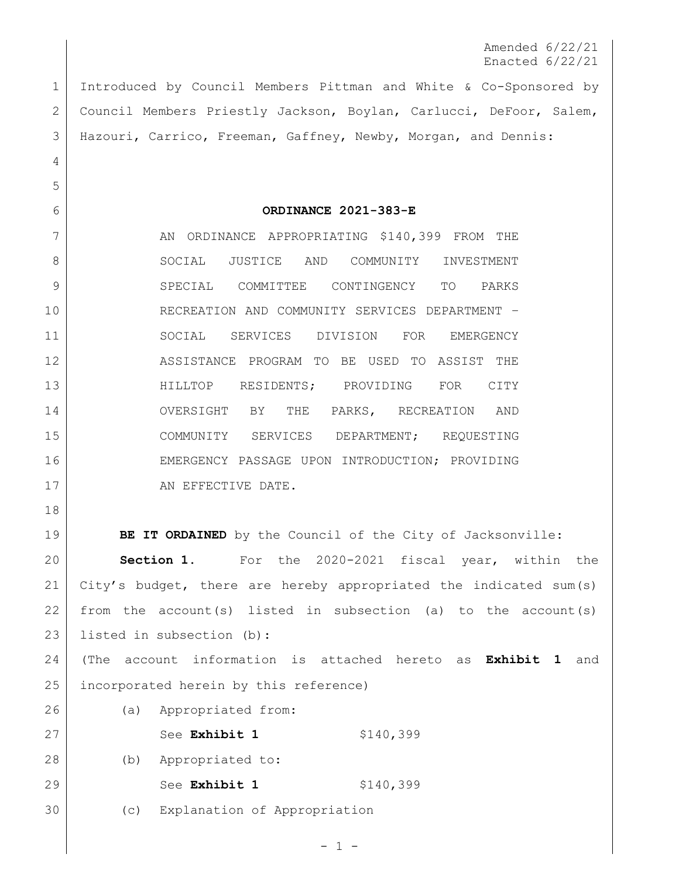Amended 6/22/21 Enacted 6/22/21

 Introduced by Council Members Pittman and White & Co-Sponsored by Council Members Priestly Jackson, Boylan, Carlucci, DeFoor, Salem, Hazouri, Carrico, Freeman, Gaffney, Newby, Morgan, and Dennis:

**ORDINANCE 2021-383-E**

7 AN ORDINANCE APPROPRIATING \$140,399 FROM THE 8 SOCIAL JUSTICE AND COMMUNITY INVESTMENT SPECIAL COMMITTEE CONTINGENCY TO PARKS RECREATION AND COMMUNITY SERVICES DEPARTMENT – 11 SOCIAL SERVICES DIVISION FOR EMERGENCY ASSISTANCE PROGRAM TO BE USED TO ASSIST THE HILLTOP RESIDENTS; PROVIDING FOR CITY 14 OVERSIGHT BY THE PARKS, RECREATION AND COMMUNITY SERVICES DEPARTMENT; REQUESTING 16 EMERGENCY PASSAGE UPON INTRODUCTION; PROVIDING 17 AN EFFECTIVE DATE.

 **BE IT ORDAINED** by the Council of the City of Jacksonville: **Section 1.** For the 2020-2021 fiscal year, within the City's budget, there are hereby appropriated the indicated sum(s) 22 from the account(s) listed in subsection (a) to the account(s) listed in subsection (b): (The account information is attached hereto as **Exhibit 1** and

incorporated herein by this reference)

 (a) Appropriated from: 27 See **Exhibit 1** \$140,399 (b) Appropriated to: 29 See **Exhibit 1** \$140,399

(c) Explanation of Appropriation

 $-1 -$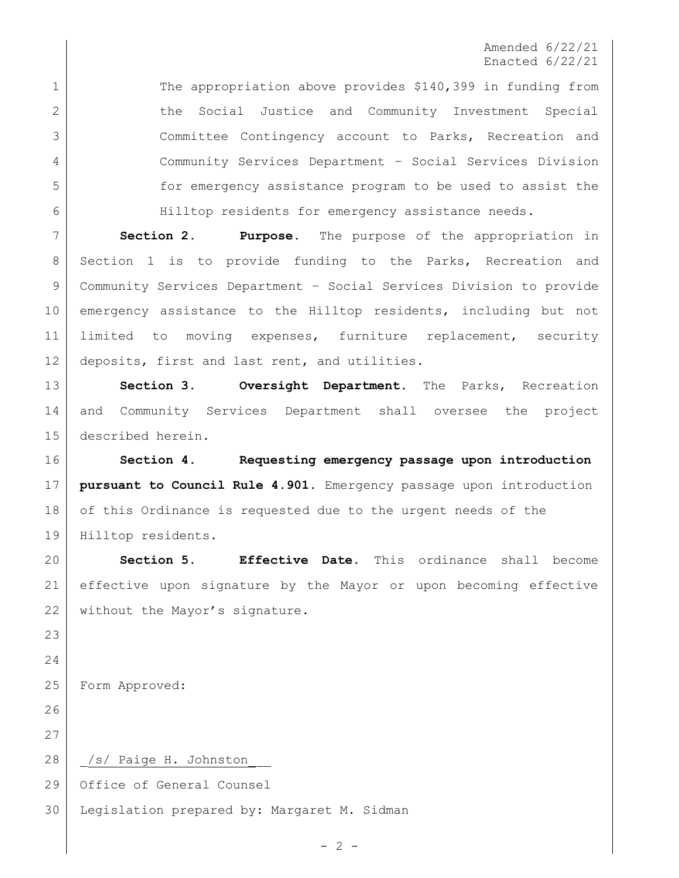## Amended 6/22/21 Enacted 6/22/21

1 The appropriation above provides \$140,399 in funding from 2 | the Social Justice and Community Investment Special Committee Contingency account to Parks, Recreation and Community Services Department – Social Services Division for emergency assistance program to be used to assist the Hilltop residents for emergency assistance needs.

 **Section 2. Purpose.** The purpose of the appropriation in Section 1 is to provide funding to the Parks, Recreation and Community Services Department – Social Services Division to provide emergency assistance to the Hilltop residents, including but not limited to moving expenses, furniture replacement, security 12 deposits, first and last rent, and utilities.

 **Section 3. Oversight Department.** The Parks, Recreation and Community Services Department shall oversee the project described herein.

 **Section 4. Requesting emergency passage upon introduction pursuant to Council Rule 4.901.** Emergency passage upon introduction 18 of this Ordinance is requested due to the urgent needs of the Hilltop residents.

 **Section 5. Effective Date.** This ordinance shall become effective upon signature by the Mayor or upon becoming effective 22 without the Mayor's signature.

Form Approved:

28 | /s/ Paige H. Johnston

Office of General Counsel

Legislation prepared by: Margaret M. Sidman

 $-2 -$